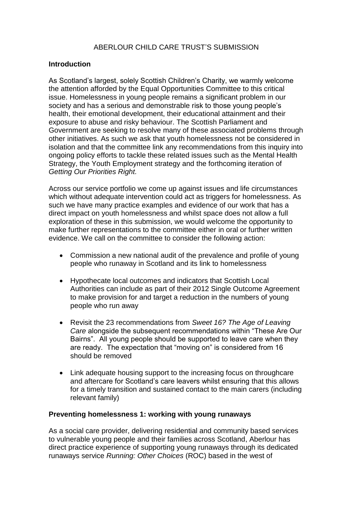## **Introduction**

As Scotland"s largest, solely Scottish Children"s Charity, we warmly welcome the attention afforded by the Equal Opportunities Committee to this critical issue. Homelessness in young people remains a significant problem in our society and has a serious and demonstrable risk to those young people's health, their emotional development, their educational attainment and their exposure to abuse and risky behaviour. The Scottish Parliament and Government are seeking to resolve many of these associated problems through other initiatives. As such we ask that youth homelessness not be considered in isolation and that the committee link any recommendations from this inquiry into ongoing policy efforts to tackle these related issues such as the Mental Health Strategy, the Youth Employment strategy and the forthcoming iteration of *Getting Our Priorities Right.*

Across our service portfolio we come up against issues and life circumstances which without adequate intervention could act as triggers for homelessness. As such we have many practice examples and evidence of our work that has a direct impact on youth homelessness and whilst space does not allow a full exploration of these in this submission, we would welcome the opportunity to make further representations to the committee either in oral or further written evidence. We call on the committee to consider the following action:

- Commission a new national audit of the prevalence and profile of young people who runaway in Scotland and its link to homelessness
- Hypothecate local outcomes and indicators that Scottish Local Authorities can include as part of their 2012 Single Outcome Agreement to make provision for and target a reduction in the numbers of young people who run away
- Revisit the 23 recommendations from *Sweet 16? The Age of Leaving Care* alongside the subsequent recommendations within "These Are Our Bairns". All young people should be supported to leave care when they are ready. The expectation that "moving on" is considered from 16 should be removed
- Link adequate housing support to the increasing focus on throughcare and aftercare for Scotland"s care leavers whilst ensuring that this allows for a timely transition and sustained contact to the main carers (including relevant family)

## **Preventing homelessness 1: working with young runaways**

As a social care provider, delivering residential and community based services to vulnerable young people and their families across Scotland, Aberlour has direct practice experience of supporting young runaways through its dedicated runaways service *Running: Other Choices* (ROC) based in the west of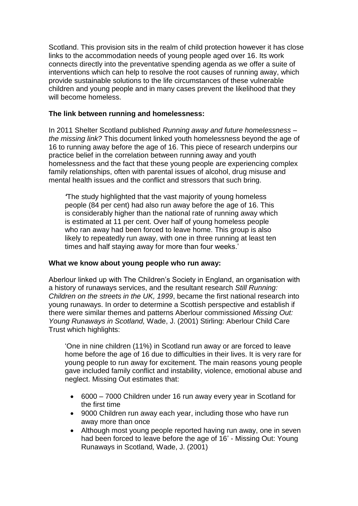Scotland. This provision sits in the realm of child protection however it has close links to the accommodation needs of young people aged over 16. Its work connects directly into the preventative spending agenda as we offer a suite of interventions which can help to resolve the root causes of running away, which provide sustainable solutions to the life circumstances of these vulnerable children and young people and in many cases prevent the likelihood that they will become homeless.

# **The link between running and homelessness:**

In 2011 Shelter Scotland published *Running away and future homelessness – the missing link?* This document linked youth homelessness beyond the age of 16 to running away before the age of 16. This piece of research underpins our practice belief in the correlation between running away and youth homelessness and the fact that these young people are experiencing complex family relationships, often with parental issues of alcohol, drug misuse and mental health issues and the conflict and stressors that such bring.

*'*The study highlighted that the vast majority of young homeless people (84 per cent) had also run away before the age of 16. This is considerably higher than the national rate of running away which is estimated at 11 per cent. Over half of young homeless people who ran away had been forced to leave home. This group is also likely to repeatedly run away, with one in three running at least ten times and half staying away for more than four weeks.'

## **What we know about young people who run away:**

Aberlour linked up with The Children"s Society in England, an organisation with a history of runaways services, and the resultant research *Still Running: Children on the streets in the UK, 1999*, became the first national research into young runaways. In order to determine a Scottish perspective and establish if there were similar themes and patterns Aberlour commissioned *Missing Out: Young Runaways in Scotland,* Wade, J. (2001) Stirling: Aberlour Child Care Trust which highlights:

"One in nine children (11%) in Scotland run away or are forced to leave home before the age of 16 due to difficulties in their lives. It is very rare for young people to run away for excitement. The main reasons young people gave included family conflict and instability, violence, emotional abuse and neglect. Missing Out estimates that:

- 6000 7000 Children under 16 run away every year in Scotland for the first time
- 9000 Children run away each year, including those who have run away more than once
- Although most young people reported having run away, one in seven had been forced to leave before the age of 16' - Missing Out: Young Runaways in Scotland*,* Wade, J. (2001)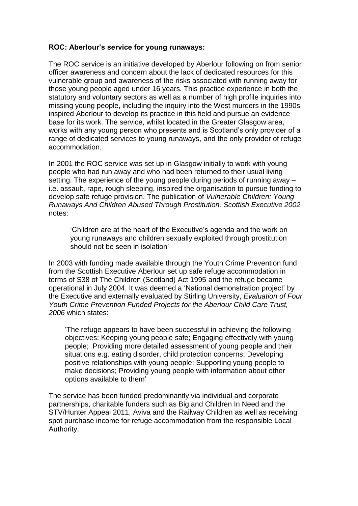## **ROC: Aberlour's service for young runaways:**

The ROC service is an initiative developed by Aberlour following on from senior officer awareness and concern about the lack of dedicated resources for this vulnerable group and awareness of the risks associated with running away for those young people aged under 16 years. This practice experience in both the statutory and voluntary sectors as well as a number of high profile inquiries into missing young people, including the inquiry into the West murders in the 1990s inspired Aberlour to develop its practice in this field and pursue an evidence base for its work. The service, whilst located in the Greater Glasgow area, works with any young person who presents and is Scotland"s only provider of a range of dedicated services to young runaways, and the only provider of refuge accommodation.

In 2001 the ROC service was set up in Glasgow initially to work with young people who had run away and who had been returned to their usual living setting. The experience of the young people during periods of running away – i.e. assault, rape, rough sleeping, inspired the organisation to pursue funding to develop safe refuge provision. The publication of *Vulnerable Children: Young Runaways And Children Abused Through Prostitution, Scottish Executive 2002* notes:

"Children are at the heart of the Executive"s agenda and the work on young runaways and children sexually exploited through prostitution should not be seen in isolation"

In 2003 with funding made available through the Youth Crime Prevention fund from the Scottish Executive Aberlour set up safe refuge accommodation in terms of S38 of The Children (Scotland) Act 1995 and the refuge became operational in July 2004. It was deemed a "National demonstration project" by the Executive and externally evaluated by Stirling University, *Evaluation of Four Youth Crime Prevention Funded Projects for the Aberlour Child Care Trust, 2006* which states:

"The refuge appears to have been successful in achieving the following objectives: Keeping young people safe; Engaging effectively with young people; Providing more detailed assessment of young people and their situations e.g. eating disorder, child protection concerns; Developing positive relationships with young people; Supporting young people to make decisions; Providing young people with information about other options available to them"

The service has been funded predominantly via individual and corporate partnerships, charitable funders such as Big and Children In Need and the STV/Hunter Appeal 2011, Aviva and the Railway Children as well as receiving spot purchase income for refuge accommodation from the responsible Local Authority.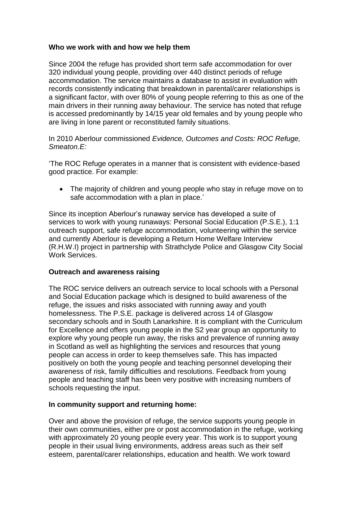## **Who we work with and how we help them**

Since 2004 the refuge has provided short term safe accommodation for over 320 individual young people, providing over 440 distinct periods of refuge accommodation. The service maintains a database to assist in evaluation with records consistently indicating that breakdown in parental/carer relationships is a significant factor, with over 80% of young people referring to this as one of the main drivers in their running away behaviour. The service has noted that refuge is accessed predominantly by 14/15 year old females and by young people who are living in lone parent or reconstituted family situations.

In 2010 Aberlour commissioned *Evidence, Outcomes and Costs: ROC Refuge, Smeaton.E:*

"The ROC Refuge operates in a manner that is consistent with evidence-based good practice. For example:

• The majority of children and young people who stay in refuge move on to safe accommodation with a plan in place.'

Since its inception Aberlour"s runaway service has developed a suite of services to work with young runaways: Personal Social Education (P.S.E.), 1:1 outreach support, safe refuge accommodation, volunteering within the service and currently Aberlour is developing a Return Home Welfare Interview (R.H.W.I) project in partnership with Strathclyde Police and Glasgow City Social Work Services.

## **Outreach and awareness raising**

The ROC service delivers an outreach service to local schools with a Personal and Social Education package which is designed to build awareness of the refuge, the issues and risks associated with running away and youth homelessness. The P.S.E. package is delivered across 14 of Glasgow secondary schools and in South Lanarkshire. It is compliant with the Curriculum for Excellence and offers young people in the S2 year group an opportunity to explore why young people run away, the risks and prevalence of running away in Scotland as well as highlighting the services and resources that young people can access in order to keep themselves safe. This has impacted positively on both the young people and teaching personnel developing their awareness of risk, family difficulties and resolutions. Feedback from young people and teaching staff has been very positive with increasing numbers of schools requesting the input.

## **In community support and returning home:**

Over and above the provision of refuge, the service supports young people in their own communities, either pre or post accommodation in the refuge, working with approximately 20 young people every year. This work is to support young people in their usual living environments, address areas such as their self esteem, parental/carer relationships, education and health. We work toward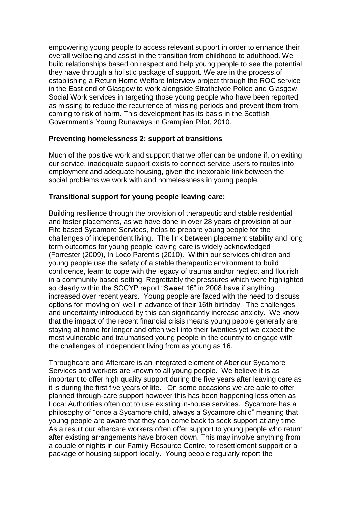empowering young people to access relevant support in order to enhance their overall wellbeing and assist in the transition from childhood to adulthood. We build relationships based on respect and help young people to see the potential they have through a holistic package of support. We are in the process of establishing a Return Home Welfare Interview project through the ROC service in the East end of Glasgow to work alongside Strathclyde Police and Glasgow Social Work services in targeting those young people who have been reported as missing to reduce the recurrence of missing periods and prevent them from coming to risk of harm. This development has its basis in the Scottish Government"s Young Runaways in Grampian Pilot, 2010.

# **Preventing homelessness 2: support at transitions**

Much of the positive work and support that we offer can be undone if, on exiting our service, inadequate support exists to connect service users to routes into employment and adequate housing, given the inexorable link between the social problems we work with and homelessness in young people.

# **Transitional support for young people leaving care:**

Building resilience through the provision of therapeutic and stable residential and foster placements, as we have done in over 28 years of provision at our Fife based Sycamore Services, helps to prepare young people for the challenges of independent living. The link between placement stability and long term outcomes for young people leaving care is widely acknowledged (Forrester (2009), In Loco Parentis (2010). Within our services children and young people use the safety of a stable therapeutic environment to build confidence, learn to cope with the legacy of trauma and\or neglect and flourish in a community based setting. Regrettably the pressures which were highlighted so clearly within the SCCYP report "Sweet 16" in 2008 have if anything increased over recent years. Young people are faced with the need to discuss options for "moving on" well in advance of their 16th birthday. The challenges and uncertainty introduced by this can significantly increase anxiety. We know that the impact of the recent financial crisis means young people generally are staying at home for longer and often well into their twenties yet we expect the most vulnerable and traumatised young people in the country to engage with the challenges of independent living from as young as 16.

Throughcare and Aftercare is an integrated element of Aberlour Sycamore Services and workers are known to all young people. We believe it is as important to offer high quality support during the five years after leaving care as it is during the first five years of life. On some occasions we are able to offer planned through-care support however this has been happening less often as Local Authorities often opt to use existing in-house services. Sycamore has a philosophy of "once a Sycamore child, always a Sycamore child" meaning that young people are aware that they can come back to seek support at any time. As a result our aftercare workers often offer support to young people who return after existing arrangements have broken down. This may involve anything from a couple of nights in our Family Resource Centre, to resettlement support or a package of housing support locally. Young people regularly report the